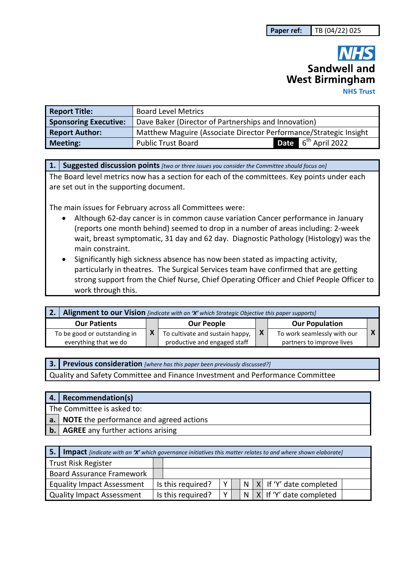# Sandwell and **West Birmingham NHS Trust**

| <b>Report Title:</b>         | <b>Board Level Metrics</b>                                        |                                 |  |  |  |  |
|------------------------------|-------------------------------------------------------------------|---------------------------------|--|--|--|--|
| <b>Sponsoring Executive:</b> | Dave Baker (Director of Partnerships and Innovation)              |                                 |  |  |  |  |
| <b>Report Author:</b>        | Matthew Maguire (Associate Director Performance/Strategic Insight |                                 |  |  |  |  |
| <b>Meeting:</b>              | <b>Public Trust Board</b>                                         | Date 6 <sup>th</sup> April 2022 |  |  |  |  |

**1. Suggested discussion points** *[two or three issues you consider the Committee should focus on]* 

The Board level metrics now has a section for each of the committees. Key points under each are set out in the supporting document.

The main issues for February across all Committees were:

- Although 62-day cancer is in common cause variation Cancer performance in January (reports one month behind) seemed to drop in a number of areas including: 2-week wait, breast symptomatic, 31 day and 62 day. Diagnostic Pathology (Histology) was the main constraint.
- Significantly high sickness absence has now been stated as impacting activity, particularly in theatres. The Surgical Services team have confirmed that are getting strong support from the Chief Nurse, Chief Operating Officer and Chief People Officer to work through this.

| Alignment to our Vision [indicate with an 'X' which Strategic Objective this paper supports] |  |                                                                 |     |                                                          |  |  |
|----------------------------------------------------------------------------------------------|--|-----------------------------------------------------------------|-----|----------------------------------------------------------|--|--|
| <b>Our Patients</b>                                                                          |  | <b>Our People</b>                                               |     | <b>Our Population</b>                                    |  |  |
| To be good or outstanding in<br>everything that we do                                        |  | To cultivate and sustain happy,<br>productive and engaged staff | l X | To work seamlessly with our<br>partners to improve lives |  |  |

**3. Previous consideration** *[where has this paper been previously discussed?]* Quality and Safety Committee and Finance Investment and Performance Committee

|                | 4. Recommendation(s)                              |  |  |  |  |  |  |
|----------------|---------------------------------------------------|--|--|--|--|--|--|
|                | The Committee is asked to:                        |  |  |  |  |  |  |
|                | <b>a.</b> NOTE the performance and agreed actions |  |  |  |  |  |  |
| $\mathbf{b}$ . | AGREE any further actions arising                 |  |  |  |  |  |  |

| 5.                                | <b>Impact</b> [indicate with an 'X' which governance initiatives this matter relates to and where shown elaborate] |  |                   |  |  |  |                                 |  |
|-----------------------------------|--------------------------------------------------------------------------------------------------------------------|--|-------------------|--|--|--|---------------------------------|--|
| Trust Risk Register               |                                                                                                                    |  |                   |  |  |  |                                 |  |
| <b>Board Assurance Framework</b>  |                                                                                                                    |  |                   |  |  |  |                                 |  |
| <b>Equality Impact Assessment</b> |                                                                                                                    |  | Is this required? |  |  |  | $N$ $X$ if 'Y' date completed   |  |
| <b>Quality Impact Assessment</b>  |                                                                                                                    |  | Is this required? |  |  |  | $N$   X   If 'Y' date completed |  |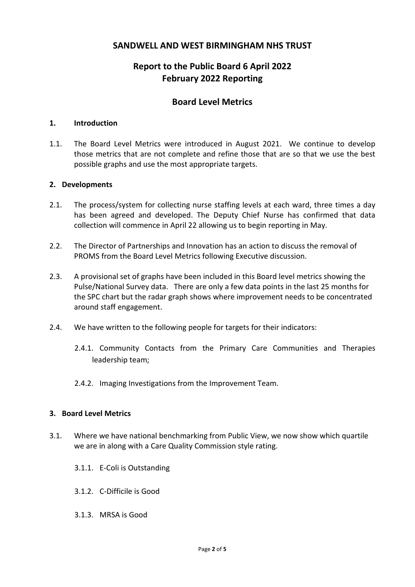# **SANDWELL AND WEST BIRMINGHAM NHS TRUST**

# **Report to the Public Board 6 April 2022 February 2022 Reporting**

# **Board Level Metrics**

#### **1. Introduction**

1.1. The Board Level Metrics were introduced in August 2021. We continue to develop those metrics that are not complete and refine those that are so that we use the best possible graphs and use the most appropriate targets.

#### **2. Developments**

- 2.1. The process/system for collecting nurse staffing levels at each ward, three times a day has been agreed and developed. The Deputy Chief Nurse has confirmed that data collection will commence in April 22 allowing us to begin reporting in May.
- 2.2. The Director of Partnerships and Innovation has an action to discuss the removal of PROMS from the Board Level Metrics following Executive discussion.
- 2.3. A provisional set of graphs have been included in this Board level metrics showing the Pulse/National Survey data. There are only a few data points in the last 25 months for the SPC chart but the radar graph shows where improvement needs to be concentrated around staff engagement.
- 2.4. We have written to the following people for targets for their indicators:
	- 2.4.1. Community Contacts from the Primary Care Communities and Therapies leadership team;
	- 2.4.2. Imaging Investigations from the Improvement Team.

#### **3. Board Level Metrics**

- 3.1. Where we have national benchmarking from Public View, we now show which quartile we are in along with a Care Quality Commission style rating.
	- 3.1.1. E-Coli is Outstanding
	- 3.1.2. C-Difficile is Good
	- 3.1.3. MRSA is Good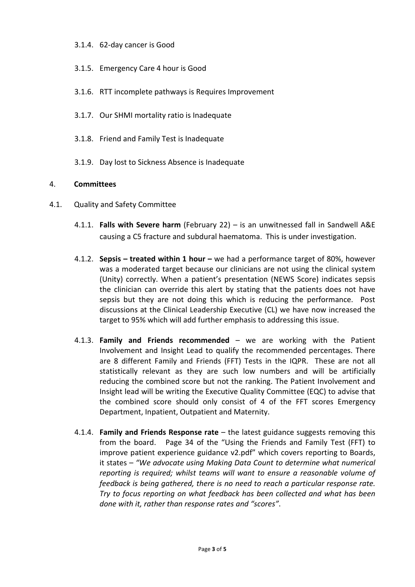#### 3.1.4. 62-day cancer is Good

- 3.1.5. Emergency Care 4 hour is Good
- 3.1.6. RTT incomplete pathways is Requires Improvement
- 3.1.7. Our SHMI mortality ratio is Inadequate
- 3.1.8. Friend and Family Test is Inadequate
- 3.1.9. Day lost to Sickness Absence is Inadequate

#### 4. **Committees**

- 4.1. Quality and Safety Committee
	- 4.1.1. **Falls with Severe harm** (February 22) is an unwitnessed fall in Sandwell A&E causing a C5 fracture and subdural haematoma. This is under investigation.
	- 4.1.2. **Sepsis treated within 1 hour** we had a performance target of 80%, however was a moderated target because our clinicians are not using the clinical system (Unity) correctly. When a patient's presentation (NEWS Score) indicates sepsis the clinician can override this alert by stating that the patients does not have sepsis but they are not doing this which is reducing the performance. Post discussions at the Clinical Leadership Executive (CL) we have now increased the target to 95% which will add further emphasis to addressing this issue.
	- 4.1.3. **Family and Friends recommended**  we are working with the Patient Involvement and Insight Lead to qualify the recommended percentages. There are 8 different Family and Friends (FFT) Tests in the IQPR. These are not all statistically relevant as they are such low numbers and will be artificially reducing the combined score but not the ranking. The Patient Involvement and Insight lead will be writing the Executive Quality Committee (EQC) to advise that the combined score should only consist of 4 of the FFT scores Emergency Department, Inpatient, Outpatient and Maternity.
	- 4.1.4. **Family and Friends Response rate** the latest guidance suggests removing this from the board. Page 34 of the "Using the Friends and Family Test (FFT) to improve patient experience guidance v2.pdf" which covers reporting to Boards, it states – *"We advocate using Making Data Count to determine what numerical reporting is required; whilst teams will want to ensure a reasonable volume of feedback is being gathered, there is no need to reach a particular response rate. Try to focus reporting on what feedback has been collected and what has been done with it, rather than response rates and "scores"*.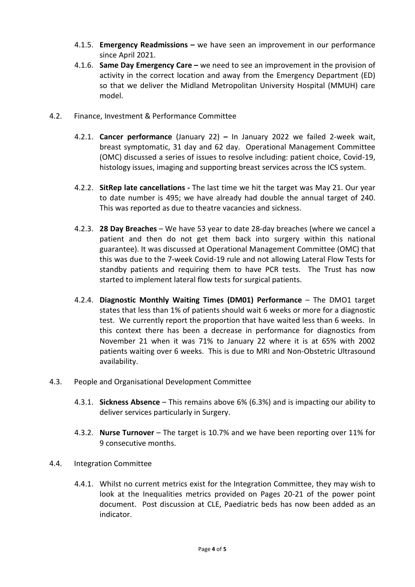- 4.1.5. **Emergency Readmissions** we have seen an improvement in our performance since April 2021.
- 4.1.6. **Same Day Emergency Care –** we need to see an improvement in the provision of activity in the correct location and away from the Emergency Department (ED) so that we deliver the Midland Metropolitan University Hospital (MMUH) care model.
- 4.2. Finance, Investment & Performance Committee
	- 4.2.1. **Cancer performance** (January 22) In January 2022 we failed 2-week wait, breast symptomatic, 31 day and 62 day. Operational Management Committee (OMC) discussed a series of issues to resolve including: patient choice, Covid-19, histology issues, imaging and supporting breast services across the ICS system.
	- 4.2.2. **SitRep late cancellations** The last time we hit the target was May 21. Our year to date number is 495; we have already had double the annual target of 240. This was reported as due to theatre vacancies and sickness.
	- 4.2.3. **28 Day Breaches** We have 53 year to date 28-day breaches (where we cancel a patient and then do not get them back into surgery within this national guarantee). It was discussed at Operational Management Committee (OMC) that this was due to the 7-week Covid-19 rule and not allowing Lateral Flow Tests for standby patients and requiring them to have PCR tests. The Trust has now started to implement lateral flow tests for surgical patients.
	- 4.2.4. **Diagnostic Monthly Waiting Times (DM01) Performance** The DMO1 target states that less than 1% of patients should wait 6 weeks or more for a diagnostic test. We currently report the proportion that have waited less than 6 weeks. In this context there has been a decrease in performance for diagnostics from November 21 when it was 71% to January 22 where it is at 65% with 2002 patients waiting over 6 weeks. This is due to MRI and Non-Obstetric Ultrasound availability.
- 4.3. People and Organisational Development Committee
	- 4.3.1. **Sickness Absence** This remains above 6% (6.3%) and is impacting our ability to deliver services particularly in Surgery.
	- 4.3.2. **Nurse Turnover** The target is 10.7% and we have been reporting over 11% for 9 consecutive months.
- 4.4. Integration Committee
	- 4.4.1. Whilst no current metrics exist for the Integration Committee, they may wish to look at the Inequalities metrics provided on Pages 20-21 of the power point document. Post discussion at CLE, Paediatric beds has now been added as an indicator.